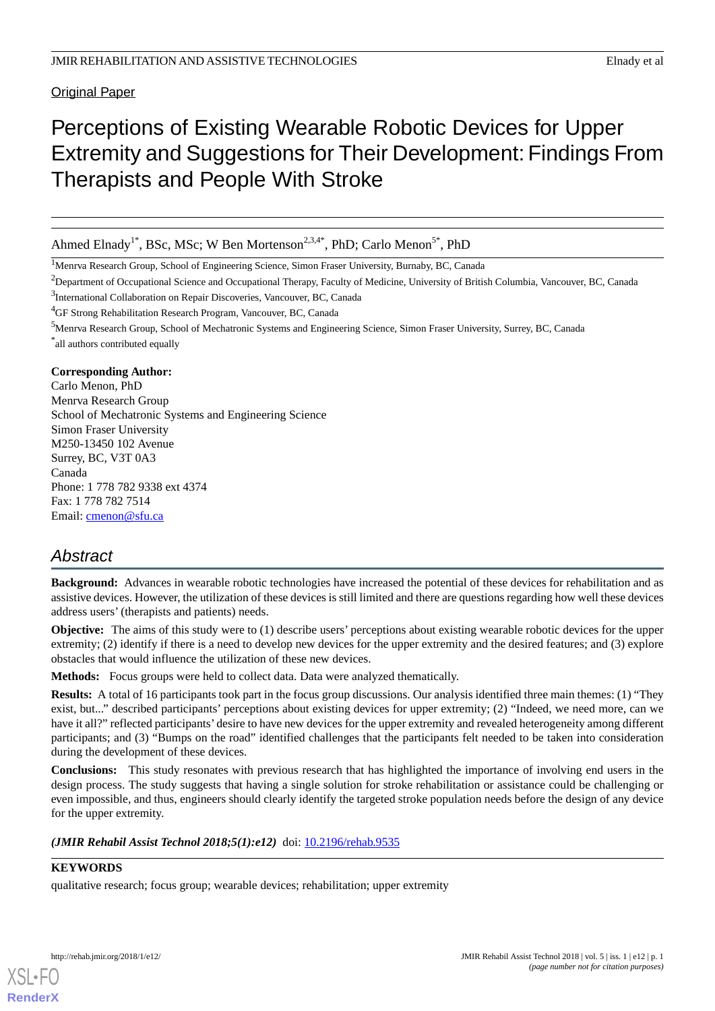Original Paper

# Perceptions of Existing Wearable Robotic Devices for Upper Extremity and Suggestions for Their Development: Findings From Therapists and People With Stroke

Ahmed Elnady<sup>1\*</sup>, BSc, MSc; W Ben Mortenson<sup>2,3,4\*</sup>, PhD; Carlo Menon<sup>5\*</sup>, PhD

<sup>1</sup>Menrva Research Group, School of Engineering Science, Simon Fraser University, Burnaby, BC, Canada

<sup>2</sup>Department of Occupational Science and Occupational Therapy, Faculty of Medicine, University of British Columbia, Vancouver, BC, Canada

<sup>3</sup>International Collaboration on Repair Discoveries, Vancouver, BC, Canada

<sup>4</sup>GF Strong Rehabilitation Research Program, Vancouver, BC, Canada

<sup>5</sup>Menrva Research Group, School of Mechatronic Systems and Engineering Science, Simon Fraser University, Surrey, BC, Canada \* all authors contributed equally

### **Corresponding Author:**

Carlo Menon, PhD Menrva Research Group School of Mechatronic Systems and Engineering Science Simon Fraser University M250-13450 102 Avenue Surrey, BC, V3T 0A3 Canada Phone: 1 778 782 9338 ext 4374 Fax: 1 778 782 7514 Email: [cmenon@sfu.ca](mailto:cmenon@sfu.ca)

# *Abstract*

**Background:** Advances in wearable robotic technologies have increased the potential of these devices for rehabilitation and as assistive devices. However, the utilization of these devices is still limited and there are questions regarding how well these devices address users' (therapists and patients) needs.

**Objective:** The aims of this study were to (1) describe users' perceptions about existing wearable robotic devices for the upper extremity; (2) identify if there is a need to develop new devices for the upper extremity and the desired features; and (3) explore obstacles that would influence the utilization of these new devices.

**Methods:** Focus groups were held to collect data. Data were analyzed thematically.

**Results:** A total of 16 participants took part in the focus group discussions. Our analysis identified three main themes: (1) "They exist, but..." described participants' perceptions about existing devices for upper extremity; (2) "Indeed, we need more, can we have it all?" reflected participants' desire to have new devices for the upper extremity and revealed heterogeneity among different participants; and (3) "Bumps on the road" identified challenges that the participants felt needed to be taken into consideration during the development of these devices.

**Conclusions:** This study resonates with previous research that has highlighted the importance of involving end users in the design process. The study suggests that having a single solution for stroke rehabilitation or assistance could be challenging or even impossible, and thus, engineers should clearly identify the targeted stroke population needs before the design of any device for the upper extremity.

*(JMIR Rehabil Assist Technol 2018;5(1):e12)* doi: [10.2196/rehab.9535](http://dx.doi.org/10.2196/rehab.9535)

# **KEYWORDS**

qualitative research; focus group; wearable devices; rehabilitation; upper extremity

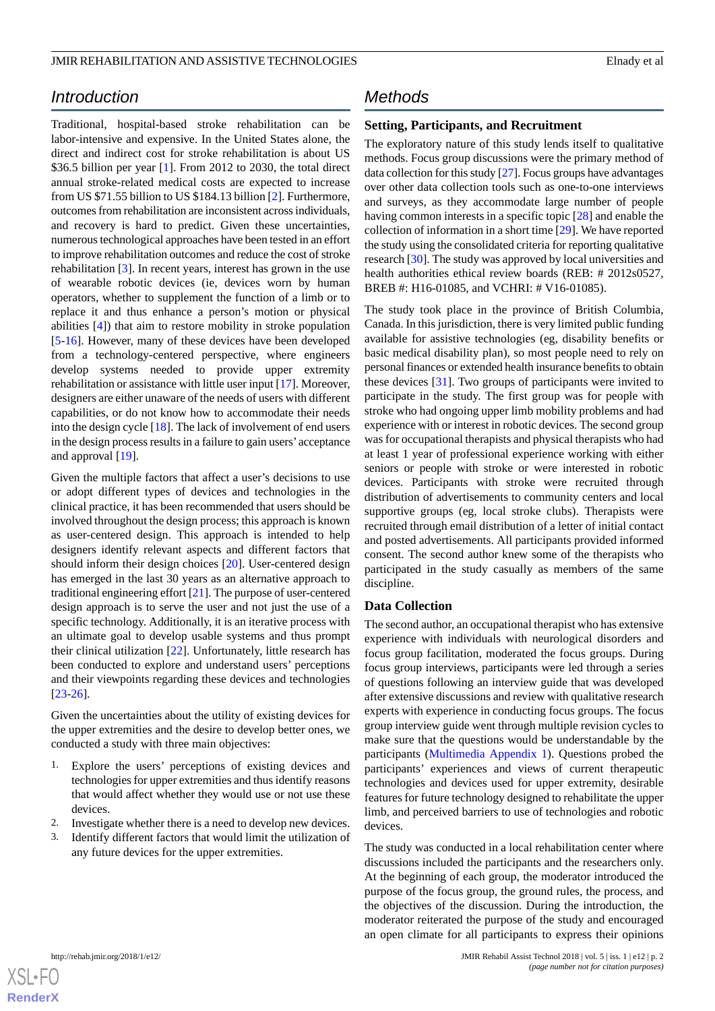# *Introduction*

Traditional, hospital-based stroke rehabilitation can be labor-intensive and expensive. In the United States alone, the direct and indirect cost for stroke rehabilitation is about US \$36.5 billion per year [[1\]](#page-8-0). From 2012 to 2030, the total direct annual stroke-related medical costs are expected to increase from US \$71.55 billion to US \$184.13 billion [\[2](#page-8-1)]. Furthermore, outcomes from rehabilitation are inconsistent across individuals, and recovery is hard to predict. Given these uncertainties, numerous technological approaches have been tested in an effort to improve rehabilitation outcomes and reduce the cost of stroke rehabilitation [[3\]](#page-8-2). In recent years, interest has grown in the use of wearable robotic devices (ie, devices worn by human operators, whether to supplement the function of a limb or to replace it and thus enhance a person's motion or physical abilities [[4\]](#page-8-3)) that aim to restore mobility in stroke population [[5](#page-8-4)[-16](#page-8-5)]. However, many of these devices have been developed from a technology-centered perspective, where engineers develop systems needed to provide upper extremity rehabilitation or assistance with little user input [\[17](#page-8-6)]. Moreover, designers are either unaware of the needs of users with different capabilities, or do not know how to accommodate their needs into the design cycle [[18\]](#page-9-0). The lack of involvement of end users in the design process results in a failure to gain users' acceptance and approval [[19\]](#page-9-1).

Given the multiple factors that affect a user's decisions to use or adopt different types of devices and technologies in the clinical practice, it has been recommended that users should be involved throughout the design process; this approach is known as user-centered design. This approach is intended to help designers identify relevant aspects and different factors that should inform their design choices [\[20](#page-9-2)]. User-centered design has emerged in the last 30 years as an alternative approach to traditional engineering effort [\[21](#page-9-3)]. The purpose of user-centered design approach is to serve the user and not just the use of a specific technology. Additionally, it is an iterative process with an ultimate goal to develop usable systems and thus prompt their clinical utilization [\[22](#page-9-4)]. Unfortunately, little research has been conducted to explore and understand users' perceptions and their viewpoints regarding these devices and technologies [[23](#page-9-5)[-26](#page-9-6)].

Given the uncertainties about the utility of existing devices for the upper extremities and the desire to develop better ones, we conducted a study with three main objectives:

- 1. Explore the users' perceptions of existing devices and technologies for upper extremities and thus identify reasons that would affect whether they would use or not use these devices.
- 2. Investigate whether there is a need to develop new devices.
- 3. Identify different factors that would limit the utilization of any future devices for the upper extremities.

# *Methods*

# **Setting, Participants, and Recruitment**

The exploratory nature of this study lends itself to qualitative methods. Focus group discussions were the primary method of data collection for this study [\[27\]](#page-9-7). Focus groups have advantages over other data collection tools such as one-to-one interviews and surveys, as they accommodate large number of people having common interests in a specific topic [\[28](#page-9-8)] and enable the collection of information in a short time [[29\]](#page-9-9). We have reported the study using the consolidated criteria for reporting qualitative research [\[30](#page-9-10)]. The study was approved by local universities and health authorities ethical review boards (REB: # 2012s0527, BREB #: H16-01085, and VCHRI: # V16-01085).

The study took place in the province of British Columbia, Canada. In this jurisdiction, there is very limited public funding available for assistive technologies (eg, disability benefits or basic medical disability plan), so most people need to rely on personal finances or extended health insurance benefits to obtain these devices [[31\]](#page-9-11). Two groups of participants were invited to participate in the study. The first group was for people with stroke who had ongoing upper limb mobility problems and had experience with or interest in robotic devices. The second group was for occupational therapists and physical therapists who had at least 1 year of professional experience working with either seniors or people with stroke or were interested in robotic devices. Participants with stroke were recruited through distribution of advertisements to community centers and local supportive groups (eg, local stroke clubs). Therapists were recruited through email distribution of a letter of initial contact and posted advertisements. All participants provided informed consent. The second author knew some of the therapists who participated in the study casually as members of the same discipline.

### **Data Collection**

The second author, an occupational therapist who has extensive experience with individuals with neurological disorders and focus group facilitation, moderated the focus groups. During focus group interviews, participants were led through a series of questions following an interview guide that was developed after extensive discussions and review with qualitative research experts with experience in conducting focus groups. The focus group interview guide went through multiple revision cycles to make sure that the questions would be understandable by the participants [\(Multimedia Appendix 1\)](#page-8-7). Questions probed the participants' experiences and views of current therapeutic technologies and devices used for upper extremity, desirable features for future technology designed to rehabilitate the upper limb, and perceived barriers to use of technologies and robotic devices.

The study was conducted in a local rehabilitation center where discussions included the participants and the researchers only. At the beginning of each group, the moderator introduced the purpose of the focus group, the ground rules, the process, and the objectives of the discussion. During the introduction, the moderator reiterated the purpose of the study and encouraged an open climate for all participants to express their opinions

 $XSI - F($ **[RenderX](http://www.renderx.com/)**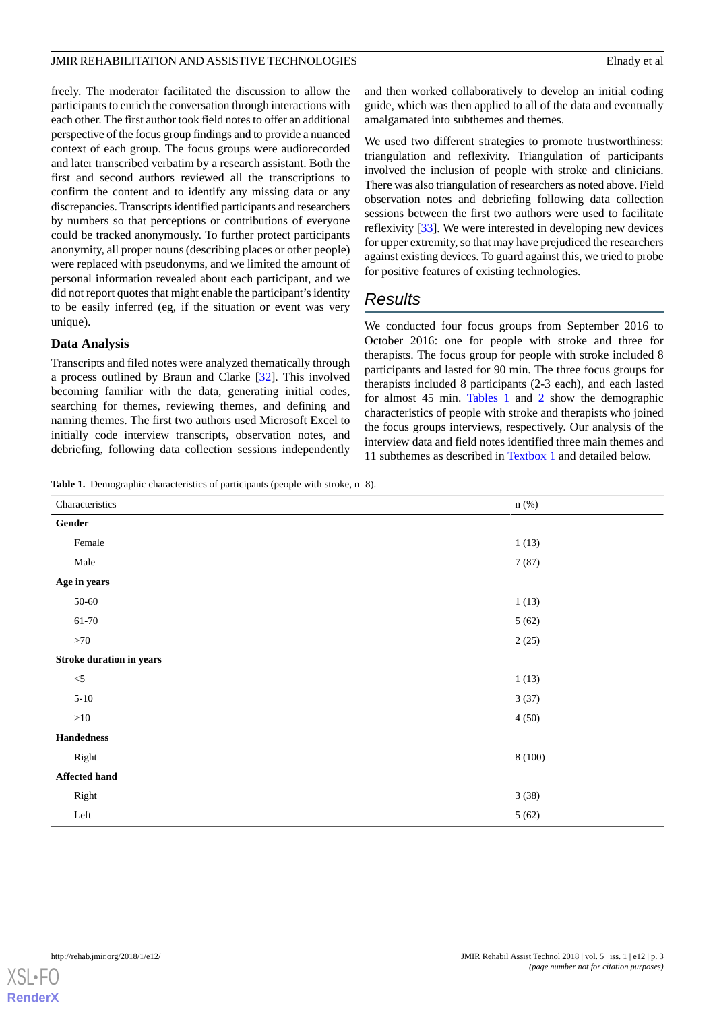freely. The moderator facilitated the discussion to allow the participants to enrich the conversation through interactions with each other. The first author took field notes to offer an additional perspective of the focus group findings and to provide a nuanced context of each group. The focus groups were audiorecorded and later transcribed verbatim by a research assistant. Both the first and second authors reviewed all the transcriptions to confirm the content and to identify any missing data or any discrepancies. Transcripts identified participants and researchers by numbers so that perceptions or contributions of everyone could be tracked anonymously. To further protect participants anonymity, all proper nouns (describing places or other people) were replaced with pseudonyms, and we limited the amount of personal information revealed about each participant, and we did not report quotes that might enable the participant's identity to be easily inferred (eg, if the situation or event was very unique).

# **Data Analysis**

Transcripts and filed notes were analyzed thematically through a process outlined by Braun and Clarke [[32\]](#page-9-12). This involved becoming familiar with the data, generating initial codes, searching for themes, reviewing themes, and defining and naming themes. The first two authors used Microsoft Excel to initially code interview transcripts, observation notes, and debriefing, following data collection sessions independently

and then worked collaboratively to develop an initial coding guide, which was then applied to all of the data and eventually amalgamated into subthemes and themes.

We used two different strategies to promote trustworthiness: triangulation and reflexivity. Triangulation of participants involved the inclusion of people with stroke and clinicians. There was also triangulation of researchers as noted above. Field observation notes and debriefing following data collection sessions between the first two authors were used to facilitate reflexivity [[33\]](#page-9-13). We were interested in developing new devices for upper extremity, so that may have prejudiced the researchers against existing devices. To guard against this, we tried to probe for positive features of existing technologies.

# *Results*

We conducted four focus groups from September 2016 to October 2016: one for people with stroke and three for therapists. The focus group for people with stroke included 8 participants and lasted for 90 min. The three focus groups for therapists included 8 participants (2-3 each), and each lasted for almost 45 min. [Tables 1](#page-2-0) and [2](#page-3-0) show the demographic characteristics of people with stroke and therapists who joined the focus groups interviews, respectively. Our analysis of the interview data and field notes identified three main themes and 11 subthemes as described in [Textbox 1](#page-3-1) and detailed below.

<span id="page-2-0"></span>**Table 1.** Demographic characteristics of participants (people with stroke, n=8).

| Characteristics                 | $n$ (%) |  |  |
|---------------------------------|---------|--|--|
| $\operatorname{\sf{Gender}}$    |         |  |  |
| Female                          | 1(13)   |  |  |
| Male                            | 7(87)   |  |  |
| Age in years                    |         |  |  |
| $50 - 60$                       | 1(13)   |  |  |
| $61 - 70$                       | 5(62)   |  |  |
| >70                             | 2(25)   |  |  |
| <b>Stroke duration in years</b> |         |  |  |
| $<$ 5                           | 1(13)   |  |  |
| $5 - 10$                        | 3(37)   |  |  |
| ${>}10$                         | 4(50)   |  |  |
| Handedness                      |         |  |  |
| Right                           | 8(100)  |  |  |
| <b>Affected hand</b>            |         |  |  |
| Right                           | 3(38)   |  |  |
| Left                            | 5(62)   |  |  |

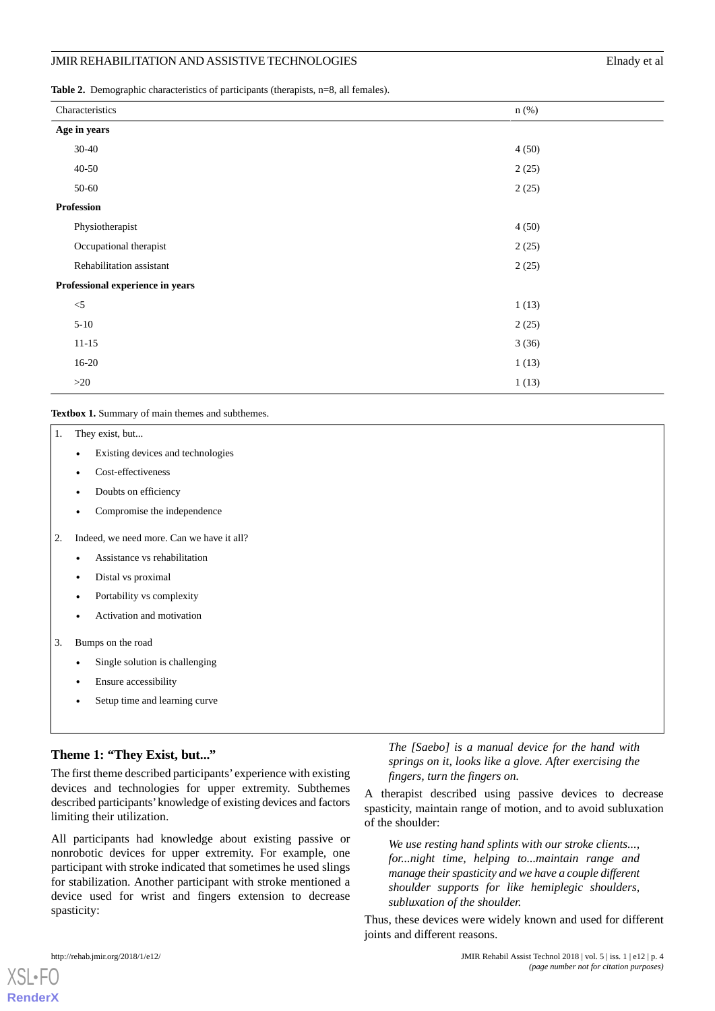<span id="page-3-0"></span>**Table 2.** Demographic characteristics of participants (therapists, n=8, all females).

| Characteristics                  | $n$ (%) |  |
|----------------------------------|---------|--|
| Age in years                     |         |  |
| $30 - 40$                        | 4(50)   |  |
| $40 - 50$                        | 2(25)   |  |
| 50-60                            | 2(25)   |  |
| <b>Profession</b>                |         |  |
| Physiotherapist                  | 4(50)   |  |
| Occupational therapist           | 2(25)   |  |
| Rehabilitation assistant         | 2(25)   |  |
| Professional experience in years |         |  |
| $<$ 5                            | 1(13)   |  |
| $5 - 10$                         | 2(25)   |  |
| $11 - 15$                        | 3(36)   |  |
| $16 - 20$                        | 1(13)   |  |
| $>20$                            | 1(13)   |  |

#### <span id="page-3-1"></span>**Textbox 1.** Summary of main themes and subthemes.

| 1. | They exist, but                                |
|----|------------------------------------------------|
|    | Existing devices and technologies<br>$\bullet$ |
|    | Cost-effectiveness<br>$\bullet$                |
|    | Doubts on efficiency<br>$\bullet$              |
|    | Compromise the independence<br>٠               |
| 2. | Indeed, we need more. Can we have it all?      |
|    | Assistance vs rehabilitation<br>$\bullet$      |
|    | Distal vs proximal<br>$\bullet$                |
|    | Portability vs complexity<br>$\bullet$         |
|    | Activation and motivation<br>$\bullet$         |
| 3. | Bumps on the road                              |
|    | Single solution is challenging<br>$\bullet$    |
|    | Ensure accessibility                           |
|    |                                                |

Setup time and learning curve

# **Theme 1: "They Exist, but..."**

The first theme described participants' experience with existing devices and technologies for upper extremity. Subthemes described participants'knowledge of existing devices and factors limiting their utilization.

All participants had knowledge about existing passive or nonrobotic devices for upper extremity. For example, one participant with stroke indicated that sometimes he used slings for stabilization. Another participant with stroke mentioned a device used for wrist and fingers extension to decrease spasticity:

*The [Saebo] is a manual device for the hand with springs on it, looks like a glove. After exercising the fingers, turn the fingers on.*

A therapist described using passive devices to decrease spasticity, maintain range of motion, and to avoid subluxation of the shoulder:

*We use resting hand splints with our stroke clients..., for...night time, helping to...maintain range and manage their spasticity and we have a couple different shoulder supports for like hemiplegic shoulders, subluxation of the shoulder.*

Thus, these devices were widely known and used for different joints and different reasons.

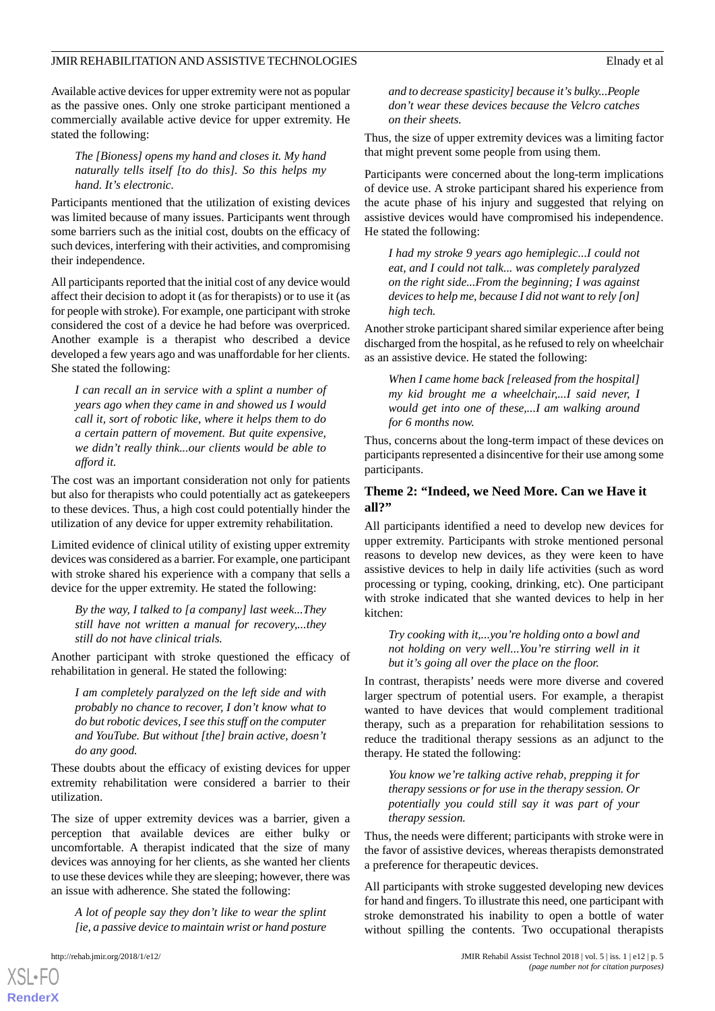Available active devices for upper extremity were not as popular as the passive ones. Only one stroke participant mentioned a commercially available active device for upper extremity. He stated the following:

*The [Bioness] opens my hand and closes it. My hand naturally tells itself [to do this]. So this helps my hand. It's electronic.*

Participants mentioned that the utilization of existing devices was limited because of many issues. Participants went through some barriers such as the initial cost, doubts on the efficacy of such devices, interfering with their activities, and compromising their independence.

All participants reported that the initial cost of any device would affect their decision to adopt it (as for therapists) or to use it (as for people with stroke). For example, one participant with stroke considered the cost of a device he had before was overpriced. Another example is a therapist who described a device developed a few years ago and was unaffordable for her clients. She stated the following:

*I can recall an in service with a splint a number of years ago when they came in and showed us I would call it, sort of robotic like, where it helps them to do a certain pattern of movement. But quite expensive, we didn't really think...our clients would be able to afford it.*

The cost was an important consideration not only for patients but also for therapists who could potentially act as gatekeepers to these devices. Thus, a high cost could potentially hinder the utilization of any device for upper extremity rehabilitation.

Limited evidence of clinical utility of existing upper extremity devices was considered as a barrier. For example, one participant with stroke shared his experience with a company that sells a device for the upper extremity. He stated the following:

*By the way, I talked to [a company] last week...They still have not written a manual for recovery,...they still do not have clinical trials.*

Another participant with stroke questioned the efficacy of rehabilitation in general. He stated the following:

*I am completely paralyzed on the left side and with probably no chance to recover, I don't know what to do but robotic devices, I see this stuff on the computer and YouTube. But without [the] brain active, doesn't do any good.*

These doubts about the efficacy of existing devices for upper extremity rehabilitation were considered a barrier to their utilization.

The size of upper extremity devices was a barrier, given a perception that available devices are either bulky or uncomfortable. A therapist indicated that the size of many devices was annoying for her clients, as she wanted her clients to use these devices while they are sleeping; however, there was an issue with adherence. She stated the following:

*A lot of people say they don't like to wear the splint [ie, a passive device to maintain wrist or hand posture*

*and to decrease spasticity] because it's bulky...People don't wear these devices because the Velcro catches on their sheets.*

Thus, the size of upper extremity devices was a limiting factor that might prevent some people from using them.

Participants were concerned about the long-term implications of device use. A stroke participant shared his experience from the acute phase of his injury and suggested that relying on assistive devices would have compromised his independence. He stated the following:

*I had my stroke 9 years ago hemiplegic...I could not eat, and I could not talk... was completely paralyzed on the right side...From the beginning; I was against devices to help me, because I did not want to rely [on] high tech.*

Another stroke participant shared similar experience after being discharged from the hospital, as he refused to rely on wheelchair as an assistive device. He stated the following:

*When I came home back [released from the hospital] my kid brought me a wheelchair,...I said never, I would get into one of these,...I am walking around for 6 months now.*

Thus, concerns about the long-term impact of these devices on participants represented a disincentive for their use among some participants.

# **Theme 2: "Indeed, we Need More. Can we Have it all?"**

All participants identified a need to develop new devices for upper extremity. Participants with stroke mentioned personal reasons to develop new devices, as they were keen to have assistive devices to help in daily life activities (such as word processing or typing, cooking, drinking, etc). One participant with stroke indicated that she wanted devices to help in her kitchen:

*Try cooking with it,...you're holding onto a bowl and not holding on very well...You're stirring well in it but it's going all over the place on the floor.*

In contrast, therapists' needs were more diverse and covered larger spectrum of potential users. For example, a therapist wanted to have devices that would complement traditional therapy, such as a preparation for rehabilitation sessions to reduce the traditional therapy sessions as an adjunct to the therapy. He stated the following:

*You know we're talking active rehab, prepping it for therapy sessions or for use in the therapy session. Or potentially you could still say it was part of your therapy session.*

Thus, the needs were different; participants with stroke were in the favor of assistive devices, whereas therapists demonstrated a preference for therapeutic devices.

All participants with stroke suggested developing new devices for hand and fingers. To illustrate this need, one participant with stroke demonstrated his inability to open a bottle of water without spilling the contents. Two occupational therapists

 $XS$  $\cdot$ FO **[RenderX](http://www.renderx.com/)**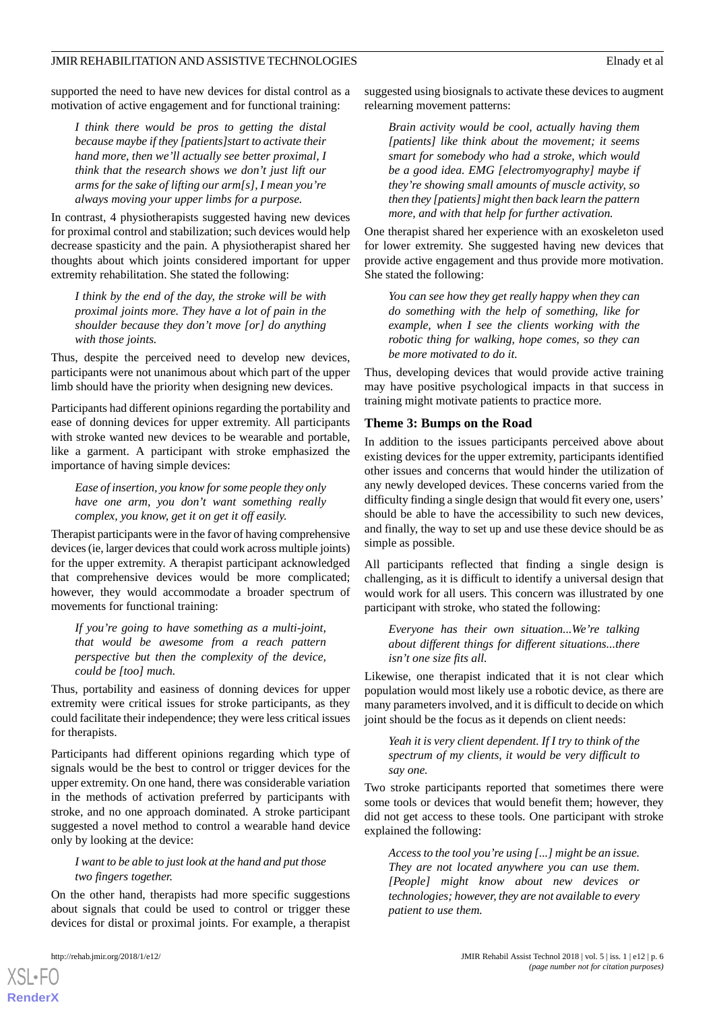supported the need to have new devices for distal control as a motivation of active engagement and for functional training:

*I think there would be pros to getting the distal because maybe if they [patients]start to activate their hand more, then we'll actually see better proximal, I think that the research shows we don't just lift our arms for the sake of lifting our arm[s], I mean you're always moving your upper limbs for a purpose.*

In contrast, 4 physiotherapists suggested having new devices for proximal control and stabilization; such devices would help decrease spasticity and the pain. A physiotherapist shared her thoughts about which joints considered important for upper extremity rehabilitation. She stated the following:

*I think by the end of the day, the stroke will be with proximal joints more. They have a lot of pain in the shoulder because they don't move [or] do anything with those joints.*

Thus, despite the perceived need to develop new devices, participants were not unanimous about which part of the upper limb should have the priority when designing new devices.

Participants had different opinions regarding the portability and ease of donning devices for upper extremity. All participants with stroke wanted new devices to be wearable and portable, like a garment. A participant with stroke emphasized the importance of having simple devices:

*Ease of insertion, you know for some people they only have one arm, you don't want something really complex, you know, get it on get it off easily.*

Therapist participants were in the favor of having comprehensive devices (ie, larger devices that could work across multiple joints) for the upper extremity. A therapist participant acknowledged that comprehensive devices would be more complicated; however, they would accommodate a broader spectrum of movements for functional training:

*If you're going to have something as a multi-joint, that would be awesome from a reach pattern perspective but then the complexity of the device, could be [too] much.*

Thus, portability and easiness of donning devices for upper extremity were critical issues for stroke participants, as they could facilitate their independence; they were less critical issues for therapists.

Participants had different opinions regarding which type of signals would be the best to control or trigger devices for the upper extremity. On one hand, there was considerable variation in the methods of activation preferred by participants with stroke, and no one approach dominated. A stroke participant suggested a novel method to control a wearable hand device only by looking at the device:

# *I want to be able to just look at the hand and put those two fingers together.*

On the other hand, therapists had more specific suggestions about signals that could be used to control or trigger these devices for distal or proximal joints. For example, a therapist

suggested using biosignals to activate these devices to augment relearning movement patterns:

*Brain activity would be cool, actually having them [patients] like think about the movement; it seems smart for somebody who had a stroke, which would be a good idea. EMG [electromyography] maybe if they're showing small amounts of muscle activity, so then they [patients] might then back learn the pattern more, and with that help for further activation.*

One therapist shared her experience with an exoskeleton used for lower extremity. She suggested having new devices that provide active engagement and thus provide more motivation. She stated the following:

*You can see how they get really happy when they can do something with the help of something, like for example, when I see the clients working with the robotic thing for walking, hope comes, so they can be more motivated to do it.*

Thus, developing devices that would provide active training may have positive psychological impacts in that success in training might motivate patients to practice more.

#### **Theme 3: Bumps on the Road**

In addition to the issues participants perceived above about existing devices for the upper extremity, participants identified other issues and concerns that would hinder the utilization of any newly developed devices. These concerns varied from the difficulty finding a single design that would fit every one, users' should be able to have the accessibility to such new devices, and finally, the way to set up and use these device should be as simple as possible.

All participants reflected that finding a single design is challenging, as it is difficult to identify a universal design that would work for all users. This concern was illustrated by one participant with stroke, who stated the following:

*Everyone has their own situation...We're talking about different things for different situations...there isn't one size fits all.*

Likewise, one therapist indicated that it is not clear which population would most likely use a robotic device, as there are many parameters involved, and it is difficult to decide on which joint should be the focus as it depends on client needs:

*Yeah it is very client dependent. If I try to think of the spectrum of my clients, it would be very difficult to say one.*

Two stroke participants reported that sometimes there were some tools or devices that would benefit them; however, they did not get access to these tools. One participant with stroke explained the following:

*Access to the tool you're using [...] might be an issue. They are not located anywhere you can use them. [People] might know about new devices or technologies; however, they are not available to every patient to use them.*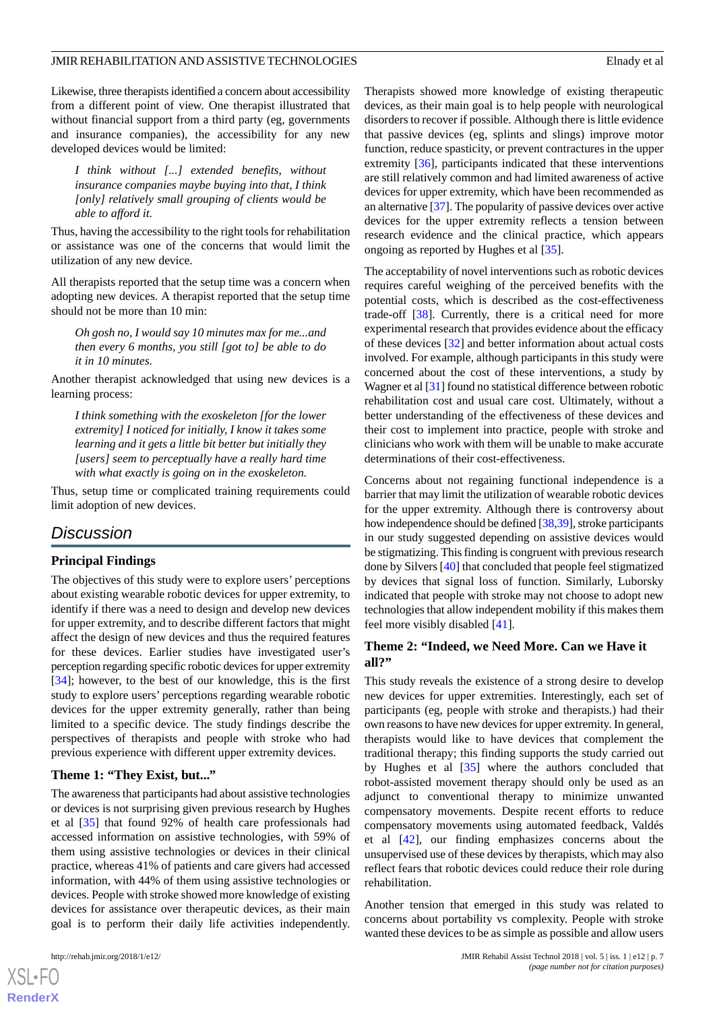Likewise, three therapists identified a concern about accessibility from a different point of view. One therapist illustrated that without financial support from a third party (eg, governments and insurance companies), the accessibility for any new developed devices would be limited:

*I think without [...] extended benefits, without insurance companies maybe buying into that, I think [only] relatively small grouping of clients would be able to afford it.*

Thus, having the accessibility to the right tools for rehabilitation or assistance was one of the concerns that would limit the utilization of any new device.

All therapists reported that the setup time was a concern when adopting new devices. A therapist reported that the setup time should not be more than 10 min:

*Oh gosh no, I would say 10 minutes max for me...and then every 6 months, you still [got to] be able to do it in 10 minutes.*

Another therapist acknowledged that using new devices is a learning process:

*I think something with the exoskeleton [for the lower extremity] I noticed for initially, I know it takes some learning and it gets a little bit better but initially they [users] seem to perceptually have a really hard time with what exactly is going on in the exoskeleton.*

Thus, setup time or complicated training requirements could limit adoption of new devices.

# *Discussion*

### **Principal Findings**

The objectives of this study were to explore users' perceptions about existing wearable robotic devices for upper extremity, to identify if there was a need to design and develop new devices for upper extremity, and to describe different factors that might affect the design of new devices and thus the required features for these devices. Earlier studies have investigated user's perception regarding specific robotic devices for upper extremity [[34\]](#page-9-14); however, to the best of our knowledge, this is the first study to explore users' perceptions regarding wearable robotic devices for the upper extremity generally, rather than being limited to a specific device. The study findings describe the perspectives of therapists and people with stroke who had previous experience with different upper extremity devices.

### **Theme 1: "They Exist, but..."**

The awareness that participants had about assistive technologies or devices is not surprising given previous research by Hughes et al [\[35](#page-9-15)] that found 92% of health care professionals had accessed information on assistive technologies, with 59% of them using assistive technologies or devices in their clinical practice, whereas 41% of patients and care givers had accessed information, with 44% of them using assistive technologies or devices. People with stroke showed more knowledge of existing devices for assistance over therapeutic devices, as their main goal is to perform their daily life activities independently.

Therapists showed more knowledge of existing therapeutic devices, as their main goal is to help people with neurological disorders to recover if possible. Although there is little evidence that passive devices (eg, splints and slings) improve motor function, reduce spasticity, or prevent contractures in the upper extremity [[36\]](#page-9-16), participants indicated that these interventions are still relatively common and had limited awareness of active devices for upper extremity, which have been recommended as an alternative [\[37](#page-9-17)]. The popularity of passive devices over active devices for the upper extremity reflects a tension between research evidence and the clinical practice, which appears ongoing as reported by Hughes et al [[35\]](#page-9-15).

The acceptability of novel interventions such as robotic devices requires careful weighing of the perceived benefits with the potential costs, which is described as the cost-effectiveness trade-off [[38\]](#page-9-18). Currently, there is a critical need for more experimental research that provides evidence about the efficacy of these devices [\[32](#page-9-12)] and better information about actual costs involved. For example, although participants in this study were concerned about the cost of these interventions, a study by Wagner et al [\[31](#page-9-11)] found no statistical difference between robotic rehabilitation cost and usual care cost. Ultimately, without a better understanding of the effectiveness of these devices and their cost to implement into practice, people with stroke and clinicians who work with them will be unable to make accurate determinations of their cost-effectiveness.

Concerns about not regaining functional independence is a barrier that may limit the utilization of wearable robotic devices for the upper extremity. Although there is controversy about how independence should be defined [[38,](#page-9-18)[39\]](#page-9-19), stroke participants in our study suggested depending on assistive devices would be stigmatizing. This finding is congruent with previous research done by Silvers [[40\]](#page-9-20) that concluded that people feel stigmatized by devices that signal loss of function. Similarly, Luborsky indicated that people with stroke may not choose to adopt new technologies that allow independent mobility if this makes them feel more visibly disabled [\[41](#page-9-21)].

### **Theme 2: "Indeed, we Need More. Can we Have it all?"**

This study reveals the existence of a strong desire to develop new devices for upper extremities. Interestingly, each set of participants (eg, people with stroke and therapists.) had their own reasons to have new devices for upper extremity. In general, therapists would like to have devices that complement the traditional therapy; this finding supports the study carried out by Hughes et al [\[35](#page-9-15)] where the authors concluded that robot-assisted movement therapy should only be used as an adjunct to conventional therapy to minimize unwanted compensatory movements. Despite recent efforts to reduce compensatory movements using automated feedback, Valdés et al [[42\]](#page-10-0), our finding emphasizes concerns about the unsupervised use of these devices by therapists, which may also reflect fears that robotic devices could reduce their role during rehabilitation.

Another tension that emerged in this study was related to concerns about portability vs complexity. People with stroke wanted these devices to be as simple as possible and allow users

```
XS-FO
RenderX
```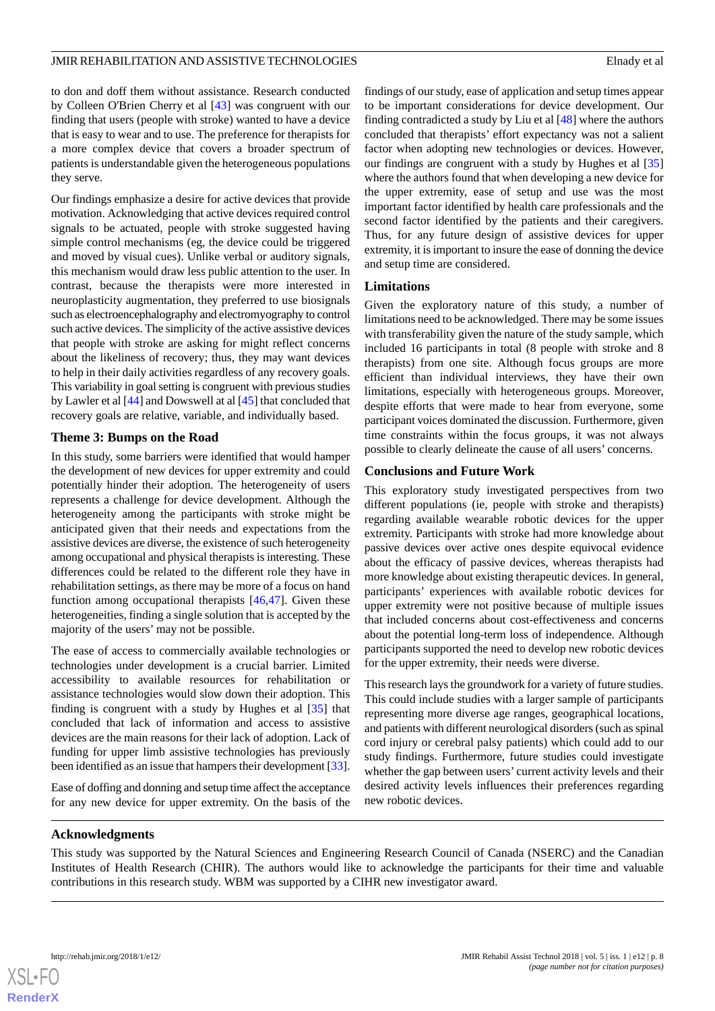to don and doff them without assistance. Research conducted by Colleen O'Brien Cherry et al [[43\]](#page-10-1) was congruent with our finding that users (people with stroke) wanted to have a device that is easy to wear and to use. The preference for therapists for a more complex device that covers a broader spectrum of patients is understandable given the heterogeneous populations they serve.

Our findings emphasize a desire for active devices that provide motivation. Acknowledging that active devices required control signals to be actuated, people with stroke suggested having simple control mechanisms (eg, the device could be triggered and moved by visual cues). Unlike verbal or auditory signals, this mechanism would draw less public attention to the user. In contrast, because the therapists were more interested in neuroplasticity augmentation, they preferred to use biosignals such as electroencephalography and electromyography to control such active devices. The simplicity of the active assistive devices that people with stroke are asking for might reflect concerns about the likeliness of recovery; thus, they may want devices to help in their daily activities regardless of any recovery goals. This variability in goal setting is congruent with previous studies by Lawler et al [\[44](#page-10-2)] and Dowswell at al [[45\]](#page-10-3) that concluded that recovery goals are relative, variable, and individually based.

# **Theme 3: Bumps on the Road**

In this study, some barriers were identified that would hamper the development of new devices for upper extremity and could potentially hinder their adoption. The heterogeneity of users represents a challenge for device development. Although the heterogeneity among the participants with stroke might be anticipated given that their needs and expectations from the assistive devices are diverse, the existence of such heterogeneity among occupational and physical therapists is interesting. These differences could be related to the different role they have in rehabilitation settings, as there may be more of a focus on hand function among occupational therapists [\[46](#page-10-4),[47\]](#page-10-5). Given these heterogeneities, finding a single solution that is accepted by the majority of the users' may not be possible.

The ease of access to commercially available technologies or technologies under development is a crucial barrier. Limited accessibility to available resources for rehabilitation or assistance technologies would slow down their adoption. This finding is congruent with a study by Hughes et al [\[35](#page-9-15)] that concluded that lack of information and access to assistive devices are the main reasons for their lack of adoption. Lack of funding for upper limb assistive technologies has previously been identified as an issue that hampers their development [[33\]](#page-9-13).

Ease of doffing and donning and setup time affect the acceptance for any new device for upper extremity. On the basis of the findings of our study, ease of application and setup times appear to be important considerations for device development. Our finding contradicted a study by Liu et al [[48\]](#page-10-6) where the authors concluded that therapists' effort expectancy was not a salient factor when adopting new technologies or devices. However, our findings are congruent with a study by Hughes et al [\[35](#page-9-15)] where the authors found that when developing a new device for the upper extremity, ease of setup and use was the most important factor identified by health care professionals and the second factor identified by the patients and their caregivers. Thus, for any future design of assistive devices for upper extremity, it is important to insure the ease of donning the device and setup time are considered.

# **Limitations**

Given the exploratory nature of this study, a number of limitations need to be acknowledged. There may be some issues with transferability given the nature of the study sample, which included 16 participants in total (8 people with stroke and 8 therapists) from one site. Although focus groups are more efficient than individual interviews, they have their own limitations, especially with heterogeneous groups. Moreover, despite efforts that were made to hear from everyone, some participant voices dominated the discussion. Furthermore, given time constraints within the focus groups, it was not always possible to clearly delineate the cause of all users' concerns.

# **Conclusions and Future Work**

This exploratory study investigated perspectives from two different populations (ie, people with stroke and therapists) regarding available wearable robotic devices for the upper extremity. Participants with stroke had more knowledge about passive devices over active ones despite equivocal evidence about the efficacy of passive devices, whereas therapists had more knowledge about existing therapeutic devices. In general, participants' experiences with available robotic devices for upper extremity were not positive because of multiple issues that included concerns about cost-effectiveness and concerns about the potential long-term loss of independence. Although participants supported the need to develop new robotic devices for the upper extremity, their needs were diverse.

This research lays the groundwork for a variety of future studies. This could include studies with a larger sample of participants representing more diverse age ranges, geographical locations, and patients with different neurological disorders (such as spinal cord injury or cerebral palsy patients) which could add to our study findings. Furthermore, future studies could investigate whether the gap between users' current activity levels and their desired activity levels influences their preferences regarding new robotic devices.

# **Acknowledgments**

This study was supported by the Natural Sciences and Engineering Research Council of Canada (NSERC) and the Canadian Institutes of Health Research (CHIR). The authors would like to acknowledge the participants for their time and valuable contributions in this research study. WBM was supported by a CIHR new investigator award.

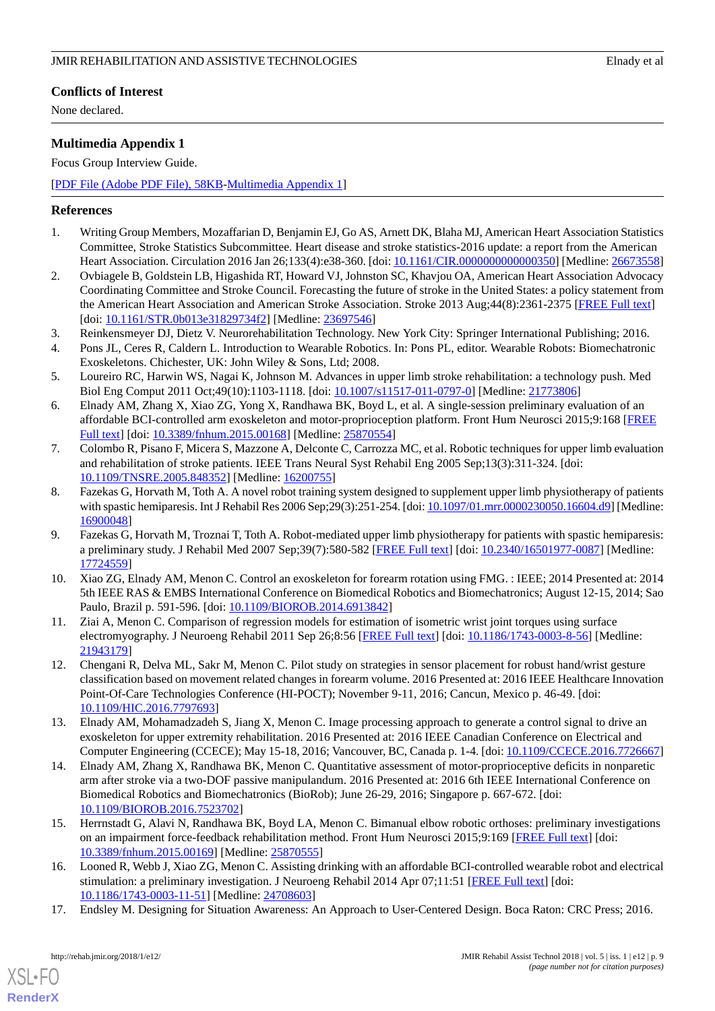# **Conflicts of Interest**

None declared.

# <span id="page-8-7"></span>**Multimedia Appendix 1**

Focus Group Interview Guide.

[[PDF File \(Adobe PDF File\), 58KB-Multimedia Appendix 1](https://jmir.org/api/download?alt_name=rehab_v5i1e12_app1.pdf&filename=691724126d53d409ccea12a0dab47f08.pdf)]

# <span id="page-8-0"></span>**References**

- <span id="page-8-1"></span>1. Writing Group Members, Mozaffarian D, Benjamin EJ, Go AS, Arnett DK, Blaha MJ, American Heart Association Statistics Committee, Stroke Statistics Subcommittee. Heart disease and stroke statistics-2016 update: a report from the American Heart Association. Circulation 2016 Jan 26;133(4):e38-360. [doi: 10.1161/CIR.00000000000000350] [Medline: [26673558](http://www.ncbi.nlm.nih.gov/entrez/query.fcgi?cmd=Retrieve&db=PubMed&list_uids=26673558&dopt=Abstract)]
- <span id="page-8-2"></span>2. Ovbiagele B, Goldstein LB, Higashida RT, Howard VJ, Johnston SC, Khavjou OA, American Heart Association Advocacy Coordinating Committee and Stroke Council. Forecasting the future of stroke in the United States: a policy statement from the American Heart Association and American Stroke Association. Stroke 2013 Aug;44(8):2361-2375 [[FREE Full text](http://stroke.ahajournals.org/cgi/pmidlookup?view=long&pmid=23697546)] [doi: [10.1161/STR.0b013e31829734f2\]](http://dx.doi.org/10.1161/STR.0b013e31829734f2) [Medline: [23697546\]](http://www.ncbi.nlm.nih.gov/entrez/query.fcgi?cmd=Retrieve&db=PubMed&list_uids=23697546&dopt=Abstract)
- <span id="page-8-4"></span><span id="page-8-3"></span>3. Reinkensmeyer DJ, Dietz V. Neurorehabilitation Technology. New York City: Springer International Publishing; 2016.
- 4. Pons JL, Ceres R, Caldern L. Introduction to Wearable Robotics. In: Pons PL, editor. Wearable Robots: Biomechatronic Exoskeletons. Chichester, UK: John Wiley & Sons, Ltd; 2008.
- 5. Loureiro RC, Harwin WS, Nagai K, Johnson M. Advances in upper limb stroke rehabilitation: a technology push. Med Biol Eng Comput 2011 Oct;49(10):1103-1118. [doi: [10.1007/s11517-011-0797-0\]](http://dx.doi.org/10.1007/s11517-011-0797-0) [Medline: [21773806](http://www.ncbi.nlm.nih.gov/entrez/query.fcgi?cmd=Retrieve&db=PubMed&list_uids=21773806&dopt=Abstract)]
- 6. Elnady AM, Zhang X, Xiao ZG, Yong X, Randhawa BK, Boyd L, et al. A single-session preliminary evaluation of an affordable BCI-controlled arm exoskeleton and motor-proprioception platform. Front Hum Neurosci 2015;9:168 [\[FREE](https://dx.doi.org/10.3389/fnhum.2015.00168) [Full text\]](https://dx.doi.org/10.3389/fnhum.2015.00168) [doi: [10.3389/fnhum.2015.00168\]](http://dx.doi.org/10.3389/fnhum.2015.00168) [Medline: [25870554](http://www.ncbi.nlm.nih.gov/entrez/query.fcgi?cmd=Retrieve&db=PubMed&list_uids=25870554&dopt=Abstract)]
- 7. Colombo R, Pisano F, Micera S, Mazzone A, Delconte C, Carrozza MC, et al. Robotic techniques for upper limb evaluation and rehabilitation of stroke patients. IEEE Trans Neural Syst Rehabil Eng 2005 Sep;13(3):311-324. [doi: [10.1109/TNSRE.2005.848352](http://dx.doi.org/10.1109/TNSRE.2005.848352)] [Medline: [16200755](http://www.ncbi.nlm.nih.gov/entrez/query.fcgi?cmd=Retrieve&db=PubMed&list_uids=16200755&dopt=Abstract)]
- 8. Fazekas G, Horvath M, Toth A. A novel robot training system designed to supplement upper limb physiotherapy of patients with spastic hemiparesis. Int J Rehabil Res 2006 Sep;29(3):251-254. [doi: [10.1097/01.mrr.0000230050.16604.d9\]](http://dx.doi.org/10.1097/01.mrr.0000230050.16604.d9) [Medline: [16900048](http://www.ncbi.nlm.nih.gov/entrez/query.fcgi?cmd=Retrieve&db=PubMed&list_uids=16900048&dopt=Abstract)]
- 9. Fazekas G, Horvath M, Troznai T, Toth A. Robot-mediated upper limb physiotherapy for patients with spastic hemiparesis: a preliminary study. J Rehabil Med 2007 Sep;39(7):580-582 [\[FREE Full text\]](https://www.medicaljournals.se/jrm/content/abstract/10.2340/16501977-0087) [doi: [10.2340/16501977-0087\]](http://dx.doi.org/10.2340/16501977-0087) [Medline: [17724559](http://www.ncbi.nlm.nih.gov/entrez/query.fcgi?cmd=Retrieve&db=PubMed&list_uids=17724559&dopt=Abstract)]
- 10. Xiao ZG, Elnady AM, Menon C. Control an exoskeleton for forearm rotation using FMG. : IEEE; 2014 Presented at: 2014 5th IEEE RAS & EMBS International Conference on Biomedical Robotics and Biomechatronics; August 12-15, 2014; Sao Paulo, Brazil p. 591-596. [doi: [10.1109/BIOROB.2014.6913842\]](http://dx.doi.org/10.1109/BIOROB.2014.6913842)
- 11. Ziai A, Menon C. Comparison of regression models for estimation of isometric wrist joint torques using surface electromyography. J Neuroeng Rehabil 2011 Sep 26;8:56 [[FREE Full text](https://jneuroengrehab.biomedcentral.com/articles/10.1186/1743-0003-8-56)] [doi: [10.1186/1743-0003-8-56\]](http://dx.doi.org/10.1186/1743-0003-8-56) [Medline: [21943179](http://www.ncbi.nlm.nih.gov/entrez/query.fcgi?cmd=Retrieve&db=PubMed&list_uids=21943179&dopt=Abstract)]
- 12. Chengani R, Delva ML, Sakr M, Menon C. Pilot study on strategies in sensor placement for robust hand/wrist gesture classification based on movement related changes in forearm volume. 2016 Presented at: 2016 IEEE Healthcare Innovation Point-Of-Care Technologies Conference (HI-POCT); November 9-11, 2016; Cancun, Mexico p. 46-49. [doi: [10.1109/HIC.2016.7797693](http://dx.doi.org/10.1109/HIC.2016.7797693)]
- 13. Elnady AM, Mohamadzadeh S, Jiang X, Menon C. Image processing approach to generate a control signal to drive an exoskeleton for upper extremity rehabilitation. 2016 Presented at: 2016 IEEE Canadian Conference on Electrical and Computer Engineering (CCECE); May 15-18, 2016; Vancouver, BC, Canada p. 1-4. [doi: [10.1109/CCECE.2016.7726667](http://dx.doi.org/10.1109/CCECE.2016.7726667)]
- <span id="page-8-5"></span>14. Elnady AM, Zhang X, Randhawa BK, Menon C. Quantitative assessment of motor-proprioceptive deficits in nonparetic arm after stroke via a two-DOF passive manipulandum. 2016 Presented at: 2016 6th IEEE International Conference on Biomedical Robotics and Biomechatronics (BioRob); June 26-29, 2016; Singapore p. 667-672. [doi: [10.1109/BIOROB.2016.7523702](http://dx.doi.org/10.1109/BIOROB.2016.7523702)]
- <span id="page-8-6"></span>15. Herrnstadt G, Alavi N, Randhawa BK, Boyd LA, Menon C. Bimanual elbow robotic orthoses: preliminary investigations on an impairment force-feedback rehabilitation method. Front Hum Neurosci 2015;9:169 [[FREE Full text\]](https://dx.doi.org/10.3389/fnhum.2015.00169) [doi: [10.3389/fnhum.2015.00169\]](http://dx.doi.org/10.3389/fnhum.2015.00169) [Medline: [25870555\]](http://www.ncbi.nlm.nih.gov/entrez/query.fcgi?cmd=Retrieve&db=PubMed&list_uids=25870555&dopt=Abstract)
- 16. Looned R, Webb J, Xiao ZG, Menon C. Assisting drinking with an affordable BCI-controlled wearable robot and electrical stimulation: a preliminary investigation. J Neuroeng Rehabil 2014 Apr 07;11:51 [[FREE Full text](https://jneuroengrehab.biomedcentral.com/articles/10.1186/1743-0003-11-51)] [doi: [10.1186/1743-0003-11-51\]](http://dx.doi.org/10.1186/1743-0003-11-51) [Medline: [24708603\]](http://www.ncbi.nlm.nih.gov/entrez/query.fcgi?cmd=Retrieve&db=PubMed&list_uids=24708603&dopt=Abstract)
- 17. Endsley M. Designing for Situation Awareness: An Approach to User-Centered Design. Boca Raton: CRC Press; 2016.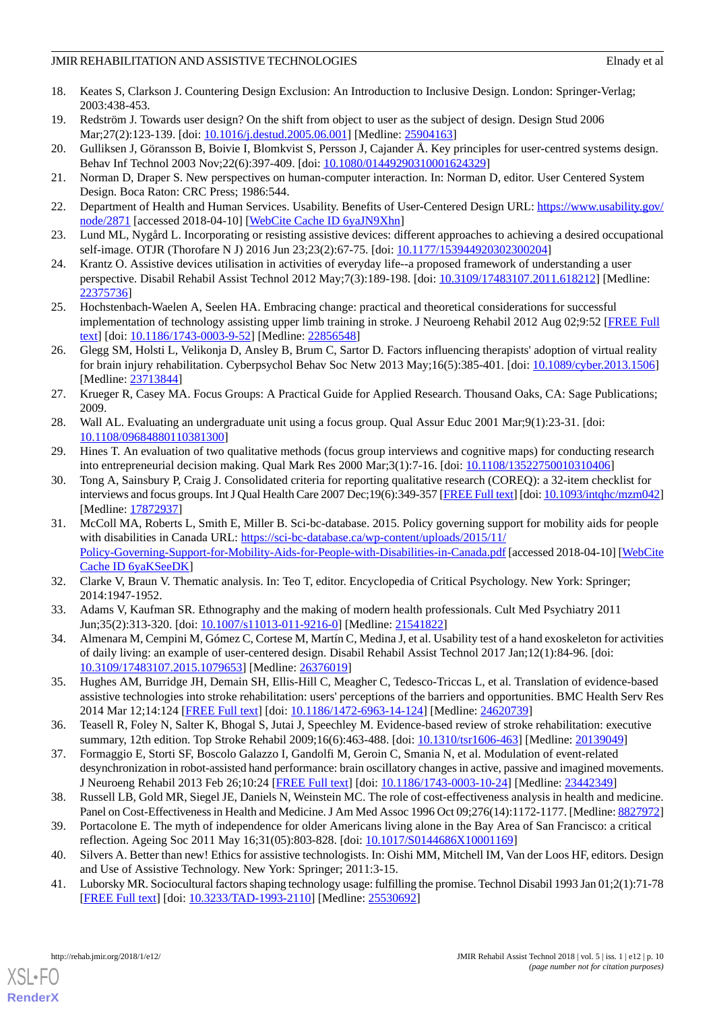- <span id="page-9-0"></span>18. Keates S, Clarkson J. Countering Design Exclusion: An Introduction to Inclusive Design. London: Springer-Verlag; 2003:438-453.
- <span id="page-9-1"></span>19. Redström J. Towards user design? On the shift from object to user as the subject of design. Design Stud 2006 Mar;27(2):123-139. [doi: [10.1016/j.destud.2005.06.001](http://dx.doi.org/10.1016/j.destud.2005.06.001)] [Medline: [25904163](http://www.ncbi.nlm.nih.gov/entrez/query.fcgi?cmd=Retrieve&db=PubMed&list_uids=25904163&dopt=Abstract)]
- <span id="page-9-3"></span><span id="page-9-2"></span>20. Gulliksen J, Göransson B, Boivie I, Blomkvist S, Persson J, Cajander Å. Key principles for user-centred systems design. Behav Inf Technol 2003 Nov;22(6):397-409. [doi: [10.1080/01449290310001624329\]](http://dx.doi.org/10.1080/01449290310001624329)
- <span id="page-9-4"></span>21. Norman D, Draper S. New perspectives on human-computer interaction. In: Norman D, editor. User Centered System Design. Boca Raton: CRC Press; 1986:544.
- <span id="page-9-5"></span>22. Department of Health and Human Services. Usability. Benefits of User-Centered Design URL: [https://www.usability.gov/](https://www.usability.gov/node/2871) [node/2871](https://www.usability.gov/node/2871) [accessed 2018-04-10] [[WebCite Cache ID 6yaJN9Xhn](http://www.webcitation.org/

                                            6yaJN9Xhn)]
- 23. Lund ML, Nygård L. Incorporating or resisting assistive devices: different approaches to achieving a desired occupational self-image. OTJR (Thorofare N J) 2016 Jun 23;23(2):67-75. [doi: [10.1177/153944920302300204\]](http://dx.doi.org/10.1177/153944920302300204)
- 24. Krantz O. Assistive devices utilisation in activities of everyday life--a proposed framework of understanding a user perspective. Disabil Rehabil Assist Technol 2012 May;7(3):189-198. [doi: [10.3109/17483107.2011.618212](http://dx.doi.org/10.3109/17483107.2011.618212)] [Medline: [22375736](http://www.ncbi.nlm.nih.gov/entrez/query.fcgi?cmd=Retrieve&db=PubMed&list_uids=22375736&dopt=Abstract)]
- <span id="page-9-6"></span>25. Hochstenbach-Waelen A, Seelen HA. Embracing change: practical and theoretical considerations for successful implementation of technology assisting upper limb training in stroke. J Neuroeng Rehabil 2012 Aug 02;9:52 [\[FREE Full](https://jneuroengrehab.biomedcentral.com/articles/10.1186/1743-0003-9-52) [text](https://jneuroengrehab.biomedcentral.com/articles/10.1186/1743-0003-9-52)] [doi: [10.1186/1743-0003-9-52\]](http://dx.doi.org/10.1186/1743-0003-9-52) [Medline: [22856548\]](http://www.ncbi.nlm.nih.gov/entrez/query.fcgi?cmd=Retrieve&db=PubMed&list_uids=22856548&dopt=Abstract)
- <span id="page-9-7"></span>26. Glegg SM, Holsti L, Velikonja D, Ansley B, Brum C, Sartor D. Factors influencing therapists' adoption of virtual reality for brain injury rehabilitation. Cyberpsychol Behav Soc Netw 2013 May;16(5):385-401. [doi: [10.1089/cyber.2013.1506\]](http://dx.doi.org/10.1089/cyber.2013.1506) [Medline: [23713844](http://www.ncbi.nlm.nih.gov/entrez/query.fcgi?cmd=Retrieve&db=PubMed&list_uids=23713844&dopt=Abstract)]
- <span id="page-9-9"></span><span id="page-9-8"></span>27. Krueger R, Casey MA. Focus Groups: A Practical Guide for Applied Research. Thousand Oaks, CA: Sage Publications; 2009.
- <span id="page-9-10"></span>28. Wall AL. Evaluating an undergraduate unit using a focus group. Qual Assur Educ 2001 Mar;9(1):23-31. [doi: [10.1108/09684880110381300\]](http://dx.doi.org/10.1108/09684880110381300)
- 29. Hines T. An evaluation of two qualitative methods (focus group interviews and cognitive maps) for conducting research into entrepreneurial decision making. Qual Mark Res 2000 Mar;3(1):7-16. [doi: [10.1108/13522750010310406](http://dx.doi.org/10.1108/13522750010310406)]
- <span id="page-9-11"></span>30. Tong A, Sainsbury P, Craig J. Consolidated criteria for reporting qualitative research (COREQ): a 32-item checklist for interviews and focus groups. Int J Qual Health Care 2007 Dec;19(6):349-357 [\[FREE Full text\]](http://intqhc.oxfordjournals.org/cgi/pmidlookup?view=long&pmid=17872937) [doi: [10.1093/intqhc/mzm042\]](http://dx.doi.org/10.1093/intqhc/mzm042) [Medline: [17872937](http://www.ncbi.nlm.nih.gov/entrez/query.fcgi?cmd=Retrieve&db=PubMed&list_uids=17872937&dopt=Abstract)]
- <span id="page-9-13"></span><span id="page-9-12"></span>31. McColl MA, Roberts L, Smith E, Miller B. Sci-bc-database. 2015. Policy governing support for mobility aids for people with disabilities in Canada URL: [https://sci-bc-database.ca/wp-content/uploads/2015/11/](https://sci-bc-database.ca/wp-content/uploads/2015/11/Policy-Governing-Support-for-Mobility-Aids-for-People-with-Disabilities-in-Canada.pdf) [Policy-Governing-Support-for-Mobility-Aids-for-People-with-Disabilities-in-Canada.pdf](https://sci-bc-database.ca/wp-content/uploads/2015/11/Policy-Governing-Support-for-Mobility-Aids-for-People-with-Disabilities-in-Canada.pdf) [accessed 2018-04-10] [\[WebCite](http://www.webcitation.org/

                                            6yaKSeeDK) [Cache ID 6yaKSeeDK\]](http://www.webcitation.org/

                                            6yaKSeeDK)
- <span id="page-9-14"></span>32. Clarke V, Braun V. Thematic analysis. In: Teo T, editor. Encyclopedia of Critical Psychology. New York: Springer; 2014:1947-1952.
- <span id="page-9-15"></span>33. Adams V, Kaufman SR. Ethnography and the making of modern health professionals. Cult Med Psychiatry 2011 Jun;35(2):313-320. [doi: [10.1007/s11013-011-9216-0\]](http://dx.doi.org/10.1007/s11013-011-9216-0) [Medline: [21541822](http://www.ncbi.nlm.nih.gov/entrez/query.fcgi?cmd=Retrieve&db=PubMed&list_uids=21541822&dopt=Abstract)]
- <span id="page-9-16"></span>34. Almenara M, Cempini M, Gómez C, Cortese M, Martín C, Medina J, et al. Usability test of a hand exoskeleton for activities of daily living: an example of user-centered design. Disabil Rehabil Assist Technol 2017 Jan;12(1):84-96. [doi: [10.3109/17483107.2015.1079653\]](http://dx.doi.org/10.3109/17483107.2015.1079653) [Medline: [26376019\]](http://www.ncbi.nlm.nih.gov/entrez/query.fcgi?cmd=Retrieve&db=PubMed&list_uids=26376019&dopt=Abstract)
- <span id="page-9-17"></span>35. Hughes AM, Burridge JH, Demain SH, Ellis-Hill C, Meagher C, Tedesco-Triccas L, et al. Translation of evidence-based assistive technologies into stroke rehabilitation: users' perceptions of the barriers and opportunities. BMC Health Serv Res 2014 Mar 12;14:124 [[FREE Full text\]](https://bmchealthservres.biomedcentral.com/articles/10.1186/1472-6963-14-124) [doi: [10.1186/1472-6963-14-124](http://dx.doi.org/10.1186/1472-6963-14-124)] [Medline: [24620739](http://www.ncbi.nlm.nih.gov/entrez/query.fcgi?cmd=Retrieve&db=PubMed&list_uids=24620739&dopt=Abstract)]
- <span id="page-9-18"></span>36. Teasell R, Foley N, Salter K, Bhogal S, Jutai J, Speechley M. Evidence-based review of stroke rehabilitation: executive summary, 12th edition. Top Stroke Rehabil 2009;16(6):463-488. [doi: [10.1310/tsr1606-463\]](http://dx.doi.org/10.1310/tsr1606-463) [Medline: [20139049](http://www.ncbi.nlm.nih.gov/entrez/query.fcgi?cmd=Retrieve&db=PubMed&list_uids=20139049&dopt=Abstract)]
- <span id="page-9-20"></span><span id="page-9-19"></span>37. Formaggio E, Storti SF, Boscolo Galazzo I, Gandolfi M, Geroin C, Smania N, et al. Modulation of event-related desynchronization in robot-assisted hand performance: brain oscillatory changes in active, passive and imagined movements. J Neuroeng Rehabil 2013 Feb 26;10:24 [[FREE Full text](https://jneuroengrehab.biomedcentral.com/articles/10.1186/1743-0003-10-24)] [doi: [10.1186/1743-0003-10-24\]](http://dx.doi.org/10.1186/1743-0003-10-24) [Medline: [23442349](http://www.ncbi.nlm.nih.gov/entrez/query.fcgi?cmd=Retrieve&db=PubMed&list_uids=23442349&dopt=Abstract)]
- <span id="page-9-21"></span>38. Russell LB, Gold MR, Siegel JE, Daniels N, Weinstein MC. The role of cost-effectiveness analysis in health and medicine. Panel on Cost-Effectiveness in Health and Medicine. J Am Med Assoc 1996 Oct 09;276(14):1172-1177. [Medline: [8827972\]](http://www.ncbi.nlm.nih.gov/entrez/query.fcgi?cmd=Retrieve&db=PubMed&list_uids=8827972&dopt=Abstract)
- 39. Portacolone E. The myth of independence for older Americans living alone in the Bay Area of San Francisco: a critical reflection. Ageing Soc 2011 May 16;31(05):803-828. [doi: [10.1017/S0144686X10001169\]](http://dx.doi.org/10.1017/S0144686X10001169)
- 40. Silvers A. Better than new! Ethics for assistive technologists. In: Oishi MM, Mitchell IM, Van der Loos HF, editors. Design and Use of Assistive Technology. New York: Springer; 2011:3-15.
- 41. Luborsky MR. Sociocultural factors shaping technology usage: fulfilling the promise. Technol Disabil 1993 Jan 01;2(1):71-78 [[FREE Full text](http://europepmc.org/abstract/MED/25530692)] [doi: [10.3233/TAD-1993-2110](http://dx.doi.org/10.3233/TAD-1993-2110)] [Medline: [25530692\]](http://www.ncbi.nlm.nih.gov/entrez/query.fcgi?cmd=Retrieve&db=PubMed&list_uids=25530692&dopt=Abstract)